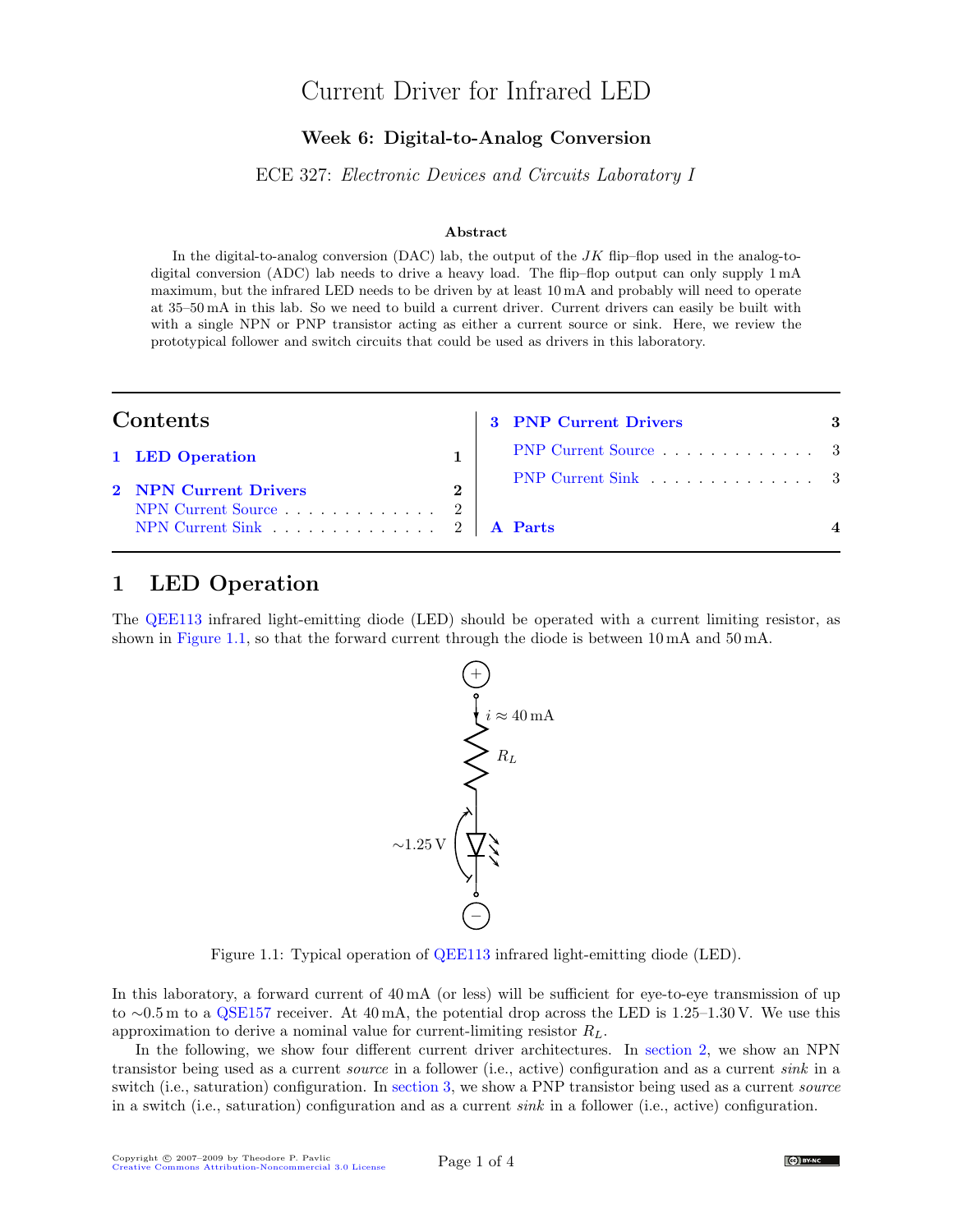# Current Driver for Infrared LED

#### Week 6: Digital-to-Analog Conversion

ECE 327: Electronic Devices and Circuits Laboratory I

#### Abstract

In the digital-to-analog conversion (DAC) lab, the output of the  $JK$  flip–flop used in the analog-todigital conversion (ADC) lab needs to drive a heavy load. The flip–flop output can only supply 1 mA maximum, but the infrared LED needs to be driven by at least 10 mA and probably will need to operate at 35–50 mA in this lab. So we need to build a current driver. Current drivers can easily be built with with a single NPN or PNP transistor acting as either a current source or sink. Here, we review the prototypical follower and switch circuits that could be used as drivers in this laboratory.

| Contents                                                                                                    |              | <b>3 PNP Current Drivers</b> | 3 |
|-------------------------------------------------------------------------------------------------------------|--------------|------------------------------|---|
| 1 LED Operation                                                                                             |              | PNP Current Source 3         |   |
| 2 NPN Current Drivers<br>NPN Current Source $\ldots \ldots \ldots \ldots 2$<br>NPN Current Sink 2   A Parts | $\mathbf{2}$ | PNP Current Sink 3           |   |

### <span id="page-0-0"></span>1 LED Operation

The [QEE113](http://www.fairchildsemi.com/ds/QE/QEE113.pdf) infrared light-emitting diode (LED) should be operated with a current limiting resistor, as shown in [Figure 1.1,](#page-0-1) so that the forward current through the diode is between 10 mA and 50 mA.



<span id="page-0-1"></span>Figure 1.1: Typical operation of [QEE113](http://www.fairchildsemi.com/ds/QE/QEE113.pdf) infrared light-emitting diode (LED).

In this laboratory, a forward current of  $40 \text{ mA}$  (or less) will be sufficient for eye-to-eye transmission of up to ∼0.5 m to a [QSE157](http://www.fairchildsemi.com/ds/QS/QSE158.pdf) receiver. At 40 mA, the potential drop across the LED is 1.25–1.30 V. We use this approximation to derive a nominal value for current-limiting resistor  $R_L$ .

In the following, we show four different current driver architectures. In [section 2,](#page-1-0) we show an NPN transistor being used as a current source in a follower (i.e., active) configuration and as a current sink in a switch (i.e., saturation) configuration. In [section 3,](#page-2-0) we show a PNP transistor being used as a current *source* in a switch (i.e., saturation) configuration and as a current sink in a follower (i.e., active) configuration.

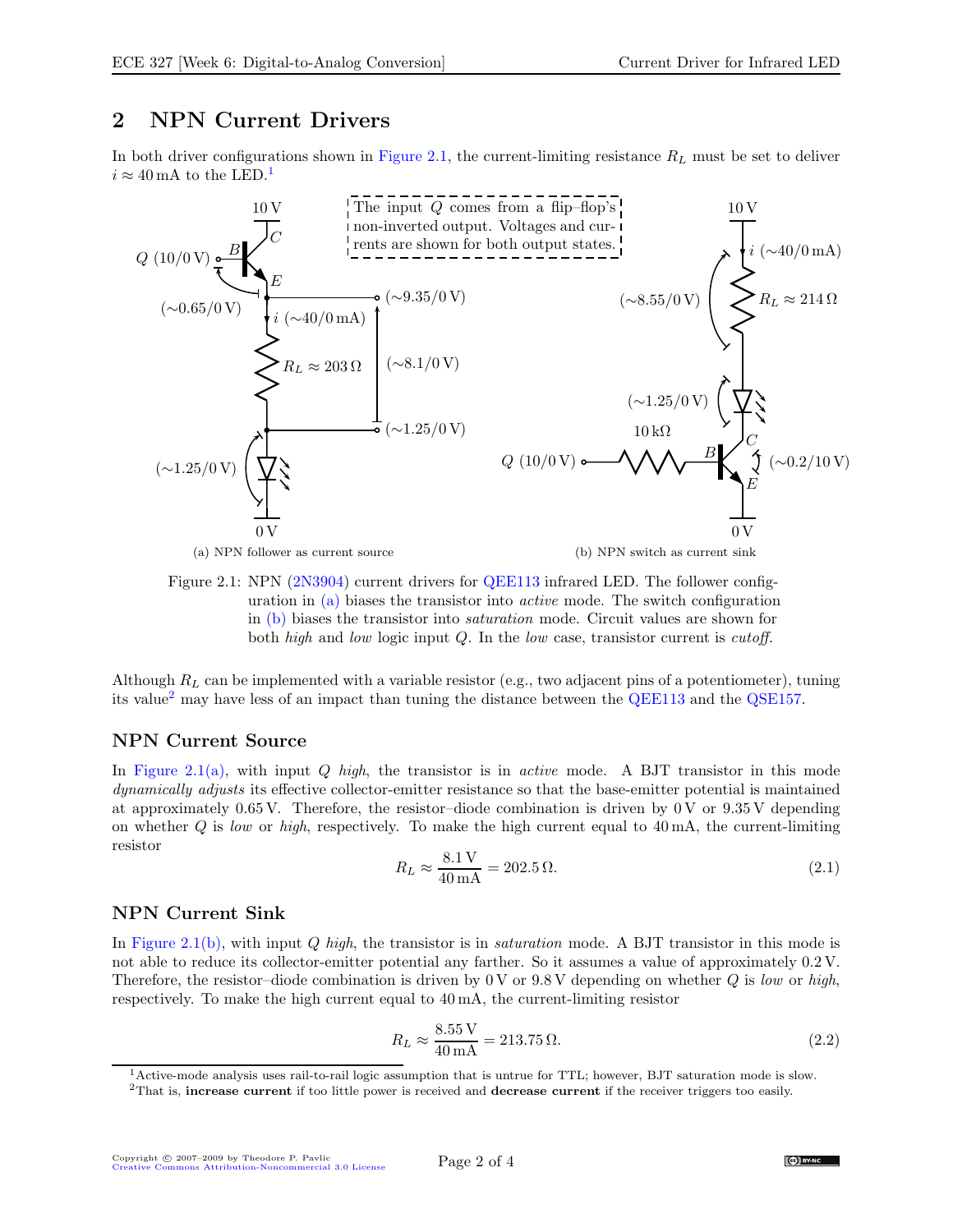### <span id="page-1-0"></span>2 NPN Current Drivers

In both driver configurations shown in [Figure 2.1,](#page-1-3) the current-limiting resistance  $R_L$  must be set to deliver  $i \approx 40 \,\mathrm{mA}$  to the LED.<sup>[1](#page-1-4)</sup>



<span id="page-1-3"></span>(a) NPN follower as current source

(b) NPN switch as current sink

Figure 2.1: NPN [\(2N3904\)](http://www.fairchildsemi.com/ds/2N/2N3904.pdf) current drivers for [QEE113](http://www.fairchildsemi.com/ds/QE/QEE113.pdf) infrared LED. The follower configuration in [\(a\)](#page-3-1) biases the transistor into active mode. The switch configuration in [\(b\)](#page-3-2) biases the transistor into saturation mode. Circuit values are shown for both high and low logic input Q. In the low case, transistor current is *cutoff*.

Although  $R_L$  can be implemented with a variable resistor (e.g., two adjacent pins of a potentiometer), tuning its value[2](#page-1-5) may have less of an impact than tuning the distance between the [QEE113](http://www.fairchildsemi.com/ds/QE/QEE113.pdf) and the [QSE157.](http://www.fairchildsemi.com/ds/QS/QSE158.pdf)

#### <span id="page-1-1"></span>NPN Current Source

In [Figure 2.1\(a\),](#page-3-1) with input  $Q$  high, the transistor is in *active* mode. A BJT transistor in this mode dynamically adjusts its effective collector-emitter resistance so that the base-emitter potential is maintained at approximately 0.65 V. Therefore, the resistor-diode combination is driven by 0 V or  $9.35$  V depending on whether  $Q$  is low or high, respectively. To make the high current equal to  $40 \text{ mA}$ , the current-limiting resistor

$$
R_L \approx \frac{8.1 \,\mathrm{V}}{40 \,\mathrm{mA}} = 202.5 \,\Omega. \tag{2.1}
$$

#### <span id="page-1-2"></span>NPN Current Sink

In [Figure 2.1\(b\),](#page-3-2) with input Q high, the transistor is in *saturation* mode. A BJT transistor in this mode is not able to reduce its collector-emitter potential any farther. So it assumes a value of approximately 0.2 V. Therefore, the resistor–diode combination is driven by 0 V or 9.8 V depending on whether  $Q$  is low or high, respectively. To make the high current equal to 40 mA, the current-limiting resistor

$$
R_L \approx \frac{8.55 \text{ V}}{40 \text{ mA}} = 213.75 \,\Omega. \tag{2.2}
$$

<sup>1</sup>Active-mode analysis uses rail-to-rail logic assumption that is untrue for TTL; however, BJT saturation mode is slow.

<span id="page-1-5"></span><span id="page-1-4"></span><sup>&</sup>lt;sup>2</sup>That is, increase current if too little power is received and decrease current if the receiver triggers too easily.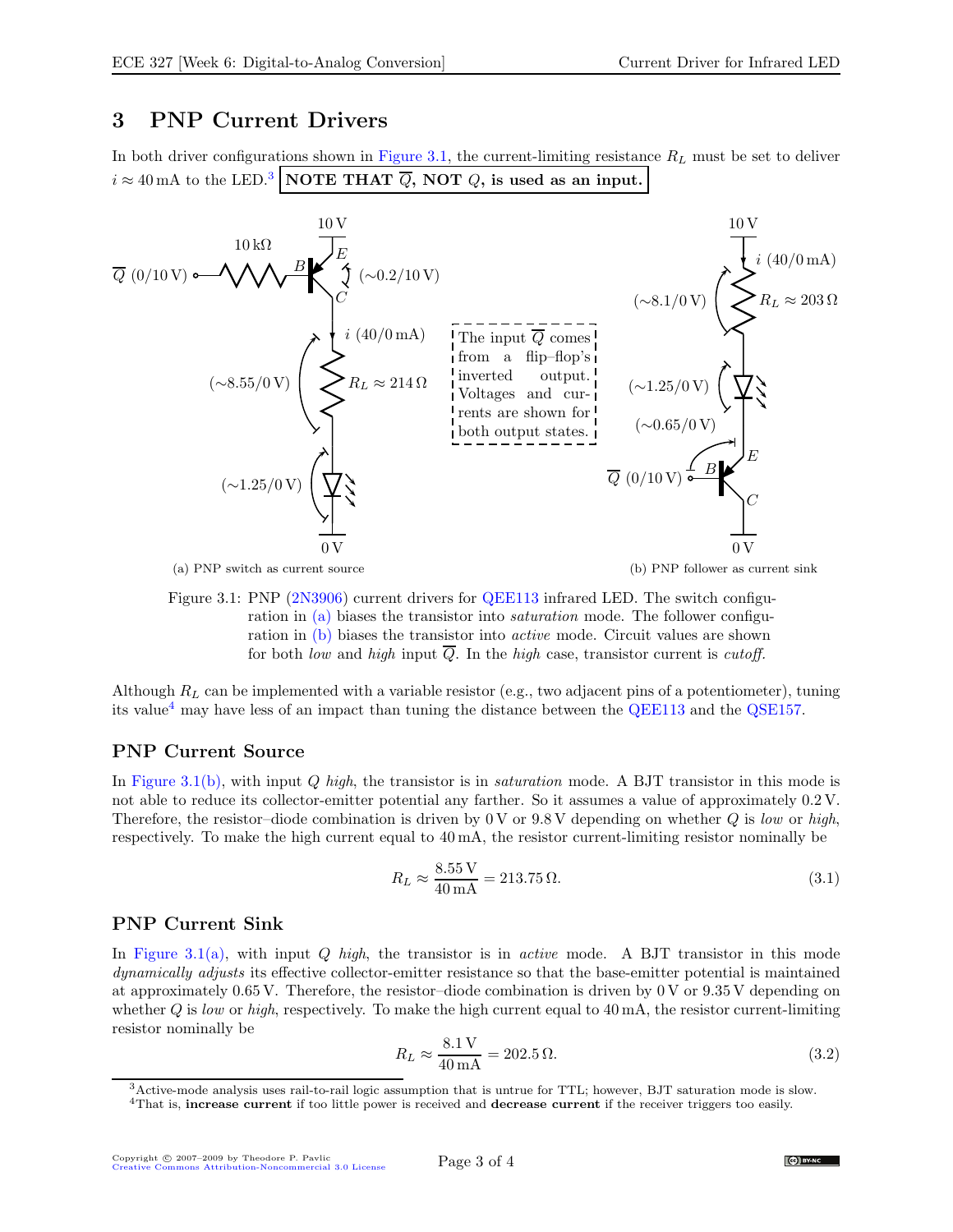### <span id="page-2-0"></span>3 PNP Current Drivers

In both driver configurations shown in [Figure 3.1,](#page-2-3) the current-limiting resistance  $R_L$  must be set to deliver  $i \approx 40 \,\mathrm{mA}$  to the LED.<sup>[3](#page-2-4)</sup> NOTE THAT  $\overline{Q}$ , NOT  $Q$ , is used as an input.



(a) PNP switch as current source

(b) PNP follower as current sink

<span id="page-2-3"></span>Figure 3.1: PNP [\(2N3906\)](http://www.fairchildsemi.com/ds/2N/2N3906.pdf) current drivers for [QEE113](http://www.fairchildsemi.com/ds/QE/QEE113.pdf) infrared LED. The switch configuration in [\(a\)](#page-3-1) biases the transistor into saturation mode. The follower configuration in [\(b\)](#page-3-2) biases the transistor into active mode. Circuit values are shown for both low and high input  $\overline{Q}$ . In the high case, transistor current is *cutoff*.

Although  $R_L$  can be implemented with a variable resistor (e.g., two adjacent pins of a potentiometer), tuning its value[4](#page-2-5) may have less of an impact than tuning the distance between the [QEE113](http://www.fairchildsemi.com/ds/QE/QEE113.pdf) and the [QSE157.](http://www.fairchildsemi.com/ds/QS/QSE158.pdf)

### <span id="page-2-1"></span>PNP Current Source

In [Figure 3.1\(b\),](#page-3-2) with input Q high, the transistor is in *saturation* mode. A BJT transistor in this mode is not able to reduce its collector-emitter potential any farther. So it assumes a value of approximately 0.2 V. Therefore, the resistor–diode combination is driven by 0 V or  $9.8$  V depending on whether Q is low or high, respectively. To make the high current equal to 40 mA, the resistor current-limiting resistor nominally be

$$
R_L \approx \frac{8.55 \text{ V}}{40 \text{ mA}} = 213.75 \,\Omega. \tag{3.1}
$$

#### <span id="page-2-2"></span>PNP Current Sink

In [Figure 3.1\(a\),](#page-3-1) with input  $Q$  high, the transistor is in *active* mode. A BJT transistor in this mode dynamically adjusts its effective collector-emitter resistance so that the base-emitter potential is maintained at approximately 0.65 V. Therefore, the resistor–diode combination is driven by 0 V or 9.35 V depending on whether  $Q$  is low or high, respectively. To make the high current equal to  $40 \text{ mA}$ , the resistor current-limiting resistor nominally be

$$
R_L \approx \frac{8.1 \,\mathrm{V}}{40 \,\mathrm{mA}} = 202.5 \,\Omega. \tag{3.2}
$$

 $3$ Active-mode analysis uses rail-to-rail logic assumption that is untrue for TTL; however, BJT saturation mode is slow.

<span id="page-2-5"></span><span id="page-2-4"></span><sup>&</sup>lt;sup>4</sup>That is, increase current if too little power is received and decrease current if the receiver triggers too easily.